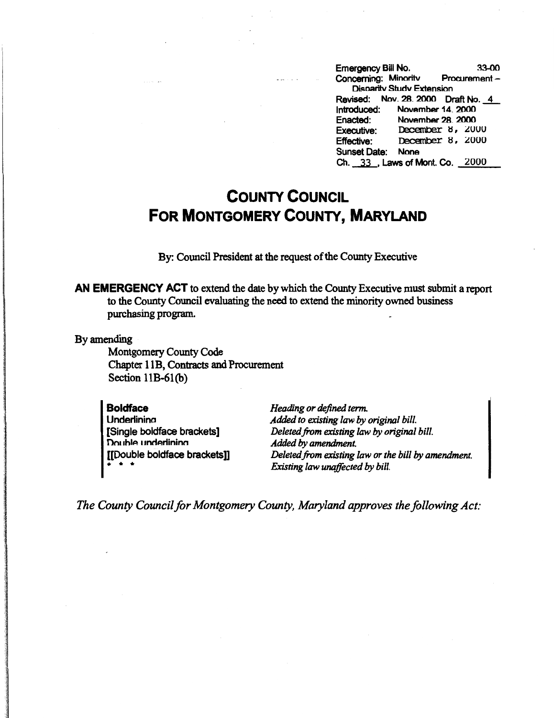Emergency Bill No. 33-00 Concerning: Minoritv Procurement -Disnaritv Studv Extension Revised: Nov. 28. 2000 Draft No. 4<br>Introduced: November 14. 2000 November 14. 2000 Enacted: November 28. 2000 **Executive: December 8, 2000** matudicad. November 14, 2000<br>Enacted: November 28, 2000<br>Executive: December 8, 2000<br>Gunset Date: None Sunset Date: None Ch. 33 . Laws of Mont. Co. 2000

## **COUNTY COUNCIL FOR MONTGOMERY COUNTY, MARYLAND**

By: Council President at the request of the County Executive

**AN EMERGENCY ACT** to extend the date by which the County Executive must submit a report to the County Council evaluating the need to extend the minority owned business purchasing program.

By amending

Montgomery County Code Chapter 11B, Contracts and Procurement Section 11B-61(b)

| Heading or defined tern        |
|--------------------------------|
| Added to existing law b        |
| Deleted from existing la       |
| Added by amendment.            |
| Deleted from existing la       |
| <b>Existing law unaffected</b> |
|                                |

*Heading or defined term. Added to existing law* by *original bill. Deleted.from existing law* by *original bill. Deleted from existing law or the bill* by *amendment. Existing law unaffected* by *bill.* 

*The County Council for Montgomery County, Maryland approves the following Act:*